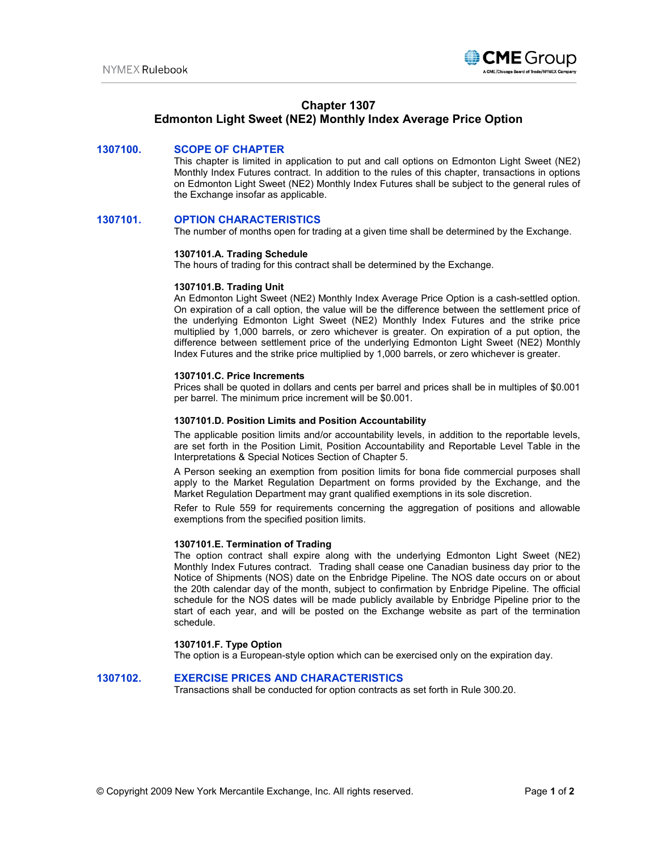

## **Chapter 1307**

# **Edmonton Light Sweet (NE2) Monthly Index Average Price Option**

## **1307100. SCOPE OF CHAPTER**

This chapter is limited in application to put and call options on Edmonton Light Sweet (NE2) Monthly Index Futures contract. In addition to the rules of this chapter, transactions in options on Edmonton Light Sweet (NE2) Monthly Index Futures shall be subject to the general rules of the Exchange insofar as applicable.

### **1307101. OPTION CHARACTERISTICS**

The number of months open for trading at a given time shall be determined by the Exchange.

#### **1307101.A. Trading Schedule**

The hours of trading for this contract shall be determined by the Exchange.

#### **1307101.B. Trading Unit**

An Edmonton Light Sweet (NE2) Monthly Index Average Price Option is a cash-settled option. On expiration of a call option, the value will be the difference between the settlement price of the underlying Edmonton Light Sweet (NE2) Monthly Index Futures and the strike price multiplied by 1,000 barrels, or zero whichever is greater. On expiration of a put option, the difference between settlement price of the underlying Edmonton Light Sweet (NE2) Monthly Index Futures and the strike price multiplied by 1,000 barrels, or zero whichever is greater.

#### **1307101.C. Price Increments**

Prices shall be quoted in dollars and cents per barrel and prices shall be in multiples of \$0.001 per barrel. The minimum price increment will be \$0.001.

#### **1307101.D. Position Limits and Position Accountability**

The applicable position limits and/or accountability levels, in addition to the reportable levels, are set forth in the Position Limit, Position Accountability and Reportable Level Table in the Interpretations & Special Notices Section of Chapter 5.

A Person seeking an exemption from position limits for bona fide commercial purposes shall apply to the Market Regulation Department on forms provided by the Exchange, and the Market Regulation Department may grant qualified exemptions in its sole discretion.

Refer to Rule 559 for requirements concerning the aggregation of positions and allowable exemptions from the specified position limits.

#### **1307101.E. Termination of Trading**

The option contract shall expire along with the underlying Edmonton Light Sweet (NE2) Monthly Index Futures contract. Trading shall cease one Canadian business day prior to the Notice of Shipments (NOS) date on the Enbridge Pipeline. The NOS date occurs on or about the 20th calendar day of the month, subject to confirmation by Enbridge Pipeline. The official schedule for the NOS dates will be made publicly available by Enbridge Pipeline prior to the start of each year, and will be posted on the Exchange website as part of the termination schedule.

### **1307101.F. Type Option**

The option is a European-style option which can be exercised only on the expiration day.

## **1307102. EXERCISE PRICES AND CHARACTERISTICS**

Transactions shall be conducted for option contracts as set forth in Rule 300.20.